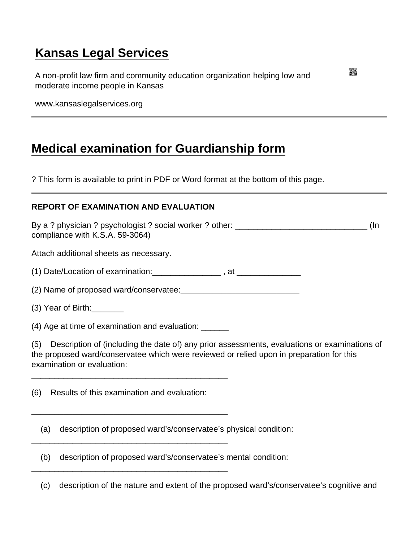## [Kansas Legal Services](https://www.kansaslegalservices.org/)

A non-profit law firm and community education organization helping low and moderate income people in Kansas

www.kansaslegalservices.org

## [Medical examination for Guardianship form](https://www.kansaslegalservices.org/node/976/medical-examination-guardianship-form)

? This form is available to print in PDF or Word format at the bottom of this page.

## REPORT OF EXAMINATION AND EVALUATION

By a ? physician ? psychologist ? social worker ? other: \_\_\_\_\_\_\_\_\_\_\_\_\_\_\_\_\_\_\_\_\_\_\_\_\_\_\_\_\_ (In compliance with K.S.A. 59-3064)

Attach additional sheets as necessary.

(1) Date/Location of examination:\_\_\_\_\_\_\_\_\_\_\_\_\_\_\_ , at \_\_\_\_\_\_\_\_\_\_\_\_\_\_

(2) Name of proposed ward/conservatee:

(3) Year of Birth:\_\_\_\_\_\_\_

(4) Age at time of examination and evaluation: \_\_\_\_\_\_

\_\_\_\_\_\_\_\_\_\_\_\_\_\_\_\_\_\_\_\_\_\_\_\_\_\_\_\_\_\_\_\_\_\_\_\_\_\_\_\_\_\_\_

\_\_\_\_\_\_\_\_\_\_\_\_\_\_\_\_\_\_\_\_\_\_\_\_\_\_\_\_\_\_\_\_\_\_\_\_\_\_\_\_\_\_\_

\_\_\_\_\_\_\_\_\_\_\_\_\_\_\_\_\_\_\_\_\_\_\_\_\_\_\_\_\_\_\_\_\_\_\_\_\_\_\_\_\_\_\_

\_\_\_\_\_\_\_\_\_\_\_\_\_\_\_\_\_\_\_\_\_\_\_\_\_\_\_\_\_\_\_\_\_\_\_\_\_\_\_\_\_\_\_

(5) Description of (including the date of) any prior assessments, evaluations or examinations of the proposed ward/conservatee which were reviewed or relied upon in preparation for this examination or evaluation:

(6) Results of this examination and evaluation:

(a) description of proposed ward's/conservatee's physical condition:

(b) description of proposed ward's/conservatee's mental condition:

(c) description of the nature and extent of the proposed ward's/conservatee's cognitive and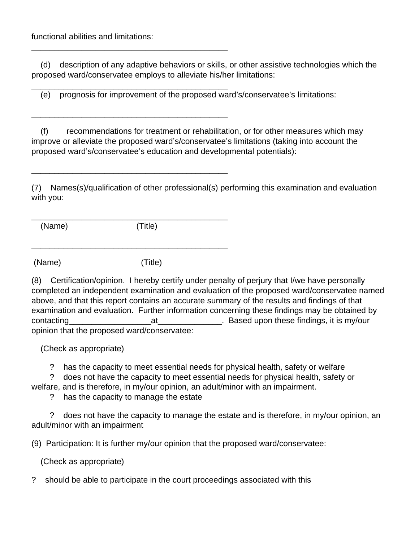functional abilities and limitations:

\_\_\_\_\_\_\_\_\_\_\_\_\_\_\_\_\_\_\_\_\_\_\_\_\_\_\_\_\_\_\_\_\_\_\_\_\_\_\_\_\_\_\_

\_\_\_\_\_\_\_\_\_\_\_\_\_\_\_\_\_\_\_\_\_\_\_\_\_\_\_\_\_\_\_\_\_\_\_\_\_\_\_\_\_\_\_

\_\_\_\_\_\_\_\_\_\_\_\_\_\_\_\_\_\_\_\_\_\_\_\_\_\_\_\_\_\_\_\_\_\_\_\_\_\_\_\_\_\_\_

\_\_\_\_\_\_\_\_\_\_\_\_\_\_\_\_\_\_\_\_\_\_\_\_\_\_\_\_\_\_\_\_\_\_\_\_\_\_\_\_\_\_\_

\_\_\_\_\_\_\_\_\_\_\_\_\_\_\_\_\_\_\_\_\_\_\_\_\_\_\_\_\_\_\_\_\_\_\_\_\_\_\_\_\_\_\_

 (d) description of any adaptive behaviors or skills, or other assistive technologies which the proposed ward/conservatee employs to alleviate his/her limitations:

(e) prognosis for improvement of the proposed ward's/conservatee's limitations:

 (f) recommendations for treatment or rehabilitation, or for other measures which may improve or alleviate the proposed ward's/conservatee's limitations (taking into account the proposed ward's/conservatee's education and developmental potentials):

(7) Names(s)/qualification of other professional(s) performing this examination and evaluation with you:

\_\_\_\_\_\_\_\_\_\_\_\_\_\_\_\_\_\_\_\_\_\_\_\_\_\_\_\_\_\_\_\_\_\_\_\_\_\_\_\_\_\_\_ (Name) (Title)

(Name) (Title)

(8) Certification/opinion. I hereby certify under penalty of perjury that I/we have personally completed an independent examination and evaluation of the proposed ward/conservatee named above, and that this report contains an accurate summary of the results and findings of that examination and evaluation. Further information concerning these findings may be obtained by contacting\_\_\_\_\_\_\_\_\_\_\_\_\_\_\_\_\_\_at\_\_\_\_\_\_\_\_\_\_\_\_\_\_. Based upon these findings, it is my/our opinion that the proposed ward/conservatee:

(Check as appropriate)

? has the capacity to meet essential needs for physical health, safety or welfare

? does not have the capacity to meet essential needs for physical health, safety or

welfare, and is therefore, in my/our opinion, an adult/minor with an impairment.

? has the capacity to manage the estate

 ? does not have the capacity to manage the estate and is therefore, in my/our opinion, an adult/minor with an impairment

(9) Participation: It is further my/our opinion that the proposed ward/conservatee:

(Check as appropriate)

? should be able to participate in the court proceedings associated with this